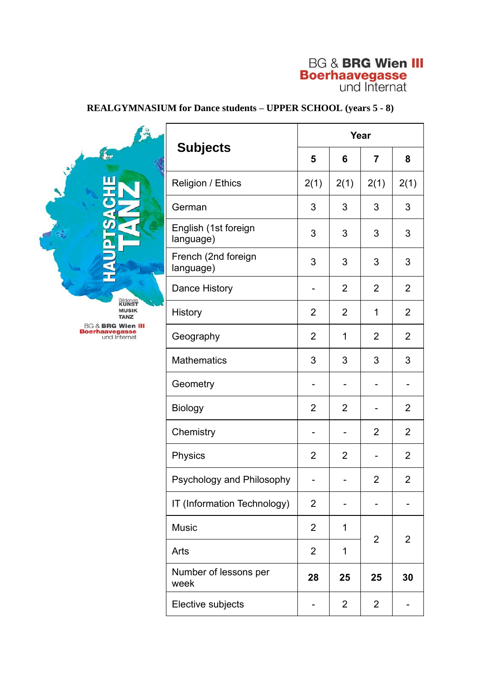# **BG & BRG Wien III Boerhaavegasse**<br>und Internat

# **REALGYMNASIUM for Dance students – UPPER SCHOOL (years 5 - 8)**

Bildende<br>**KUNST**<br>MUSIK<br>TANZ **BG & BRG Wien III**<br>**Boerhaavegasse**<br>und Internat

**FAS** 

| <b>Subjects</b>                   | Year           |                |                         |                         |
|-----------------------------------|----------------|----------------|-------------------------|-------------------------|
|                                   | 5              | 6              | $\overline{7}$          | 8                       |
| Religion / Ethics                 | 2(1)           | 2(1)           | 2(1)                    | 2(1)                    |
| German                            | 3              | 3              | 3                       | 3                       |
| English (1st foreign<br>language) | 3              | 3              | 3                       | 3                       |
| French (2nd foreign<br>language)  | 3              | 3              | 3                       | 3                       |
| <b>Dance History</b>              |                | 2              | 2                       | 2                       |
| <b>History</b>                    | 2              | 2              | 1                       | 2                       |
| Geography                         | 2              | 1              | 2                       | $\overline{2}$          |
| <b>Mathematics</b>                | 3              | 3              | 3                       | 3                       |
| Geometry                          |                |                |                         |                         |
| <b>Biology</b>                    | $\overline{2}$ | 2              |                         | $\overline{2}$          |
| Chemistry                         |                |                | 2                       | $\overline{2}$          |
| Physics                           | 2              | $\overline{2}$ |                         | $\overline{2}$          |
| Psychology and Philosophy         |                |                | $\overline{\mathbf{c}}$ | $\overline{\mathbf{c}}$ |
| IT (Information Technology)       | 2              |                |                         |                         |
| <b>Music</b>                      | $\overline{2}$ | 1              | 2                       | 2                       |
| Arts                              | 2              | 1              |                         |                         |
| Number of lessons per<br>week     | 28             | 25             | 25                      | 30                      |
| Elective subjects                 |                | $\overline{2}$ | 2                       |                         |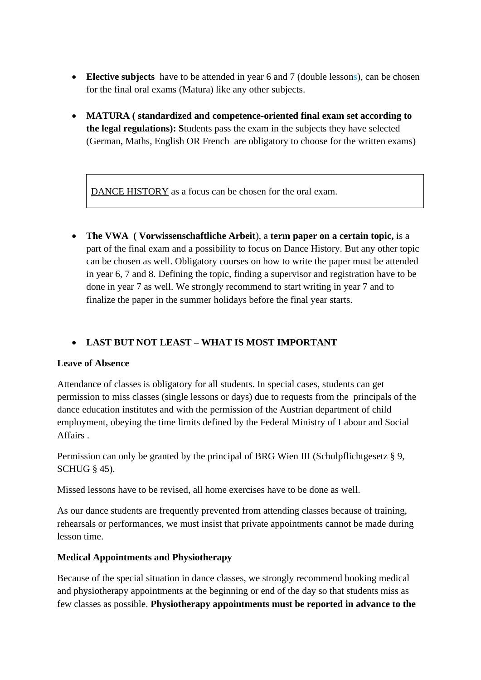- **Elective subjects** have to be attended in year 6 and 7 (double lessons), can be chosen for the final oral exams (Matura) like any other subjects.
- **MATURA ( standardized and competence-oriented final exam set according to the legal regulations): S**tudents pass the exam in the subjects they have selected (German, Maths, English OR French are obligatory to choose for the written exams)

DANCE HISTORY as a focus can be chosen for the oral exam.

• **The VWA ( Vorwissenschaftliche Arbeit**), a **term paper on a certain topic,** is a part of the final exam and a possibility to focus on Dance History. But any other topic can be chosen as well. Obligatory courses on how to write the paper must be attended in year 6, 7 and 8. Defining the topic, finding a supervisor and registration have to be done in year 7 as well. We strongly recommend to start writing in year 7 and to finalize the paper in the summer holidays before the final year starts.

## • **LAST BUT NOT LEAST – WHAT IS MOST IMPORTANT**

#### **Leave of Absence**

Attendance of classes is obligatory for all students. In special cases, students can get permission to miss classes (single lessons or days) due to requests from the principals of the dance education institutes and with the permission of the Austrian department of child employment, obeying the time limits defined by the Federal Ministry of Labour and Social Affairs .

Permission can only be granted by the principal of BRG Wien III (Schulpflichtgesetz § 9, SCHUG § 45).

Missed lessons have to be revised, all home exercises have to be done as well.

As our dance students are frequently prevented from attending classes because of training, rehearsals or performances, we must insist that private appointments cannot be made during lesson time.

#### **Medical Appointments and Physiotherapy**

Because of the special situation in dance classes, we strongly recommend booking medical and physiotherapy appointments at the beginning or end of the day so that students miss as few classes as possible. **Physiotherapy appointments must be reported in advance to the**